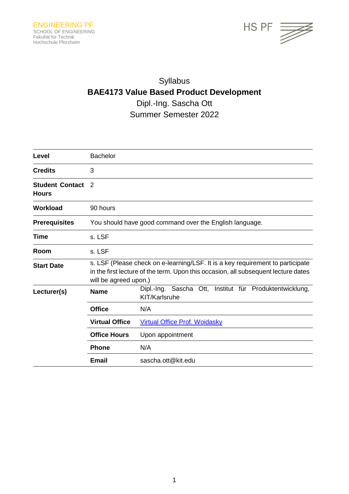

# Syllabus **BAE4173 Value Based Product Development** Dipl.-Ing. Sascha Ott Summer Semester 2022

| Level                                  | <b>Bachelor</b>                                                                                                                                                                               |                                                                          |  |
|----------------------------------------|-----------------------------------------------------------------------------------------------------------------------------------------------------------------------------------------------|--------------------------------------------------------------------------|--|
| <b>Credits</b>                         | 3                                                                                                                                                                                             |                                                                          |  |
| <b>Student Contact</b><br><b>Hours</b> | $\mathcal{P}$                                                                                                                                                                                 |                                                                          |  |
| <b>Workload</b>                        | 90 hours                                                                                                                                                                                      |                                                                          |  |
| <b>Prerequisites</b>                   | You should have good command over the English language.                                                                                                                                       |                                                                          |  |
| Time                                   | s. LSF                                                                                                                                                                                        |                                                                          |  |
| Room                                   | s. LSF                                                                                                                                                                                        |                                                                          |  |
| <b>Start Date</b>                      | s. LSF (Please check on e-learning/LSF. It is a key requirement to participate<br>in the first lecture of the term. Upon this occasion, all subsequent lecture dates<br>will be agreed upon.) |                                                                          |  |
| Lecturer(s)                            | <b>Name</b>                                                                                                                                                                                   | Dipl.-Ing. Sascha Ott, Institut für Produktentwicklung,<br>KIT/Karlsruhe |  |
|                                        | <b>Office</b>                                                                                                                                                                                 | N/A                                                                      |  |
|                                        | <b>Virtual Office</b>                                                                                                                                                                         | <b>Virtual Office Prof. Woidasky</b>                                     |  |
|                                        | <b>Office Hours</b>                                                                                                                                                                           | Upon appointment                                                         |  |
|                                        | <b>Phone</b>                                                                                                                                                                                  | N/A                                                                      |  |
|                                        | Email                                                                                                                                                                                         | sascha.ott@kit.edu                                                       |  |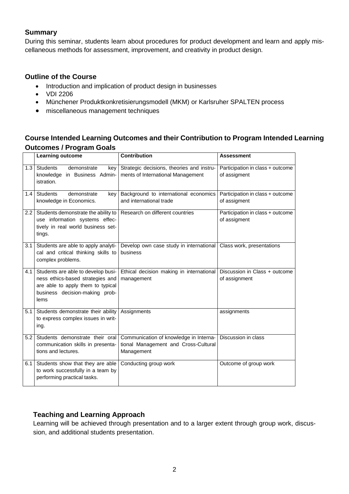# **Summary**

During this seminar, students learn about procedures for product development and learn and apply miscellaneous methods for assessment, improvement, and creativity in product design.

## **Outline of the Course**

- Introduction and implication of product design in businesses
- VDI 2206
- Münchener Produktkonkretisierungsmodell (MKM) or Karlsruher SPALTEN process
- miscellaneous management techniques

# **Course Intended Learning Outcomes and their Contribution to Program Intended Learning Outcomes / Program Goals**

|     | Learning outcome                                                                                                                                      | <b>Contribution</b>                                                                          | <b>Assessment</b>                                |  |
|-----|-------------------------------------------------------------------------------------------------------------------------------------------------------|----------------------------------------------------------------------------------------------|--------------------------------------------------|--|
| 1.3 | Students<br>demonstrate<br>key<br>knowledge in Business Admin-<br>istration.                                                                          | Strategic decisions, theories and instru-<br>ments of International Management               | Participation in class + outcome<br>of assigment |  |
| 1.4 | <b>Students</b><br>demonstrate<br>key<br>knowledge in Economics.                                                                                      | Background to international economics<br>and international trade                             | Participation in class + outcome<br>of assigment |  |
| 2.2 | Students demonstrate the ability to<br>use information systems effec-<br>tively in real world business set-<br>tings.                                 | Research on different countries                                                              | Participation in class + outcome<br>of assigment |  |
| 3.1 | Students are able to apply analyti-<br>cal and critical thinking skills to<br>complex problems.                                                       | Develop own case study in international<br>business                                          | Class work, presentations                        |  |
| 4.1 | Students are able to develop busi-<br>ness ethics-based strategies and<br>are able to apply them to typical<br>business decision-making prob-<br>lems | Ethical decision making in international<br>management                                       | Discussion in Class + outcome<br>of assignment   |  |
| 5.1 | Students demonstrate their ability<br>to express complex issues in writ-<br>ing.                                                                      | Assignments                                                                                  | assignments                                      |  |
| 5.2 | Students demonstrate their oral<br>communication skills in presenta-<br>tions and lectures.                                                           | Communication of knowledge in Interna-<br>tional Management and Cross-Cultural<br>Management | Discussion in class                              |  |
| 6.1 | Students show that they are able<br>to work successfully in a team by<br>performing practical tasks.                                                  | Conducting group work                                                                        | Outcome of group work                            |  |

# **Teaching and Learning Approach**

Learning will be achieved through presentation and to a larger extent through group work, discussion, and additional students presentation.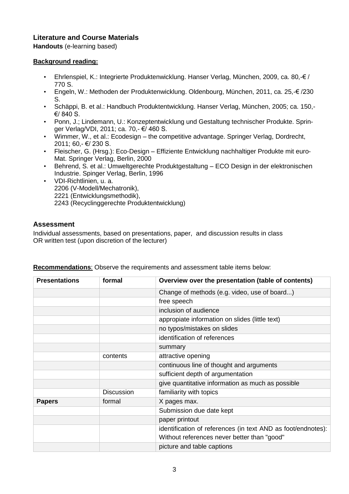# **Literature and Course Materials**

**Handouts** (e-learning based)

#### **Background reading:**

- Ehrlenspiel, K.: Integrierte Produktenwicklung. Hanser Verlag, München, 2009, ca. 80,-€ / 770 S.
- Engeln, W.: Methoden der Produktenwicklung. Oldenbourg, München, 2011, ca. 25,-€ /230 S.
- Schäppi, B. et al.: Handbuch Produktentwicklung. Hanser Verlag, München, 2005; ca. 150,- €/ 840 S.
- Ponn, J.; Lindemann, U.: Konzeptentwicklung und Gestaltung technischer Produkte. Springer Verlag/VDI, 2011; ca. 70,- €/ 460 S.
- Wimmer, W., et al.: Ecodesign the competitive advantage. Springer Verlag, Dordrecht, 2011; 60,- €/ 230 S.
- Fleischer, G. (Hrsg.): Eco-Design Effiziente Entwicklung nachhaltiger Produkte mit euro-Mat. Springer Verlag, Berlin, 2000
- Behrend, S. et al.: Umweltgerechte Produktgestaltung ECO Design in der elektronischen Industrie. Spinger Verlag, Berlin, 1996
- VDI-Richtlinien, u. a. 2206 (V-Modell/Mechatronik), 2221 (Entwicklungsmethodik), 2243 (Recyclinggerechte Produktentwicklung)

## **Assessment**

Individual assessments, based on presentations, paper, and discussion results in class OR written test (upon discretion of the lecturer)

| <b>Presentations</b> | formal            | Overview over the presentation (table of contents)           |
|----------------------|-------------------|--------------------------------------------------------------|
|                      |                   | Change of methods (e.g. video, use of board)                 |
|                      |                   | free speech                                                  |
|                      |                   | inclusion of audience                                        |
|                      |                   | appropiate information on slides (little text)               |
|                      |                   | no typos/mistakes on slides                                  |
|                      |                   | identification of references                                 |
|                      |                   | summary                                                      |
|                      | contents          | attractive opening                                           |
|                      |                   | continuous line of thought and arguments                     |
|                      |                   | sufficient depth of argumentation                            |
|                      |                   | give quantitative information as much as possible            |
|                      | <b>Discussion</b> | familiarity with topics                                      |
| <b>Papers</b>        | formal            | X pages max.                                                 |
|                      |                   | Submission due date kept                                     |
|                      |                   | paper printout                                               |
|                      |                   | identification of references (in text AND as foot/endnotes): |
|                      |                   | Without references never better than "good"                  |
|                      |                   | picture and table captions                                   |

**Recommendations**: Observe the requirements and assessment table items below: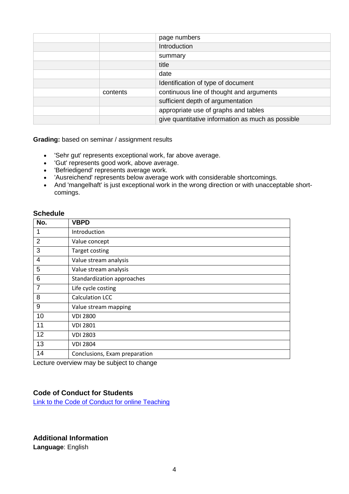|          | page numbers                                      |
|----------|---------------------------------------------------|
|          | Introduction                                      |
|          | summary                                           |
|          | title                                             |
|          | date                                              |
|          | Identification of type of document                |
| contents | continuous line of thought and arguments          |
|          | sufficient depth of argumentation                 |
|          | appropriate use of graphs and tables              |
|          | give quantitative information as much as possible |
|          |                                                   |

**Grading:** based on seminar / assignment results

- 'Sehr gut' represents exceptional work, far above average.
- 'Gut' represents good work, above average.
- 'Befriedigend' represents average work.
- 'Ausreichend' represents below average work with considerable shortcomings.
- And 'mangelhaft' is just exceptional work in the wrong direction or with unacceptable shortcomings.

#### **Schedule**

| No.            | <b>VBPD</b>                   |
|----------------|-------------------------------|
| 1              | Introduction                  |
| $\overline{2}$ | Value concept                 |
| 3              | Target costing                |
| 4              | Value stream analysis         |
| 5              | Value stream analysis         |
| 6              | Standardization approaches    |
| $\overline{7}$ | Life cycle costing            |
| 8              | <b>Calculation LCC</b>        |
| 9              | Value stream mapping          |
| 10             | <b>VDI 2800</b>               |
| 11             | <b>VDI 2801</b>               |
| 12             | <b>VDI 2803</b>               |
| 13             | <b>VDI 2804</b>               |
| 14             | Conclusions, Exam preparation |

Lecture overview may be subject to change

#### **Code of Conduct for Students**

[Link to the Code of Conduct for online Teaching](https://e-campus.hs-pforzheim.de/business_pf/digital_learning_tools_links)

# **Additional Information**

**Language**: English